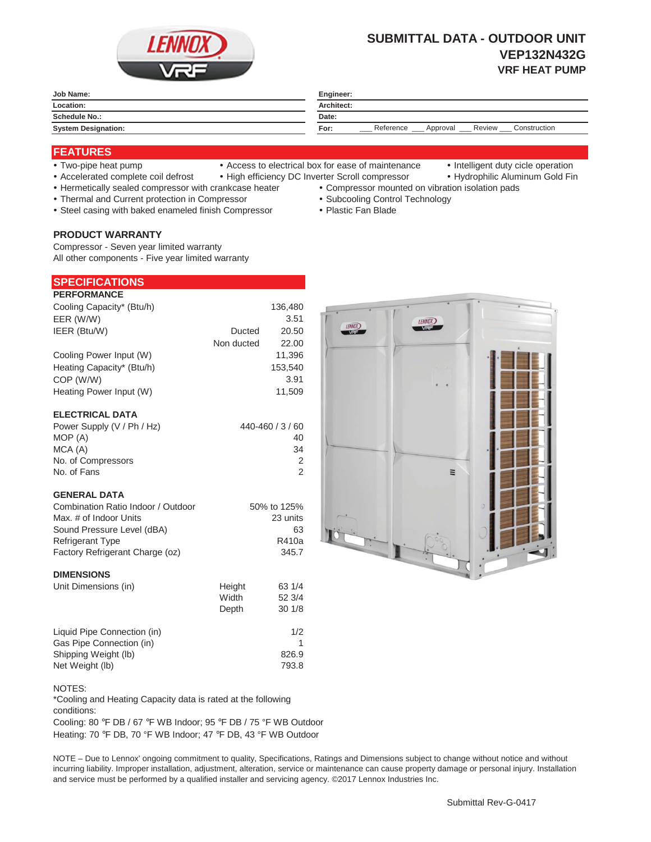

# **SUBMITTAL DATA - OUTDOOR UNIT VEP132N432G VRF HEAT PUMP**

| Job Name:                  | Engineer:                                                 |  |  |
|----------------------------|-----------------------------------------------------------|--|--|
| Location:                  | Architect:                                                |  |  |
| Schedule No.:              | Date:                                                     |  |  |
| <b>System Designation:</b> | Construction<br>Reference<br>Review _<br>Approval<br>For: |  |  |
|                            |                                                           |  |  |

## **FEATURES**

- 
- Two-pipe heat pump Access to electrical box for ease of maintenance Intelligent duty cicle operation
- 
- Accelerated complete coil defrost High efficiency DC Inverter Scroll compressor Hydrophilic Aluminum Gold Fin
- Hermetically sealed compressor with crankcase heater Compressor mounted on vibration isolation pads
- Thermal and Current protection in Compressor \* Subcooling Control Technology
- Steel casing with baked enameled finish Compressor Plastic Fan Blade

## **PRODUCT WARRANTY**

Compressor - Seven year limited warranty All other components - Five year limited warranty

|                    | <b>SPECIFICATIONS</b> |
|--------------------|-----------------------|
| <b>DEDEADMANAE</b> |                       |

| <b>PERFORMANCE</b>        |            |         |
|---------------------------|------------|---------|
| Cooling Capacity* (Btu/h) |            | 136,480 |
| EER (W/W)                 |            | 3.51    |
| IEER (Btu/W)              | Ducted     | 20.50   |
|                           | Non ducted | 22.00   |
| Cooling Power Input (W)   |            | 11,396  |
| Heating Capacity* (Btu/h) |            | 153,540 |
| COP (W/W)                 |            | 3.91    |
| Heating Power Input (W)   |            | 11,509  |
|                           |            |         |
| <b>ELECTRICAL DATA</b>    |            |         |

| Power Supply (V / Ph / Hz) | 440-460 / 3 / 60 |
|----------------------------|------------------|
| MOP (A)                    | 40               |
| MCA (A)                    | 34               |
| No. of Compressors         | 2                |
| No. of Fans                |                  |

#### **GENERAL DATA**

| Combination Ratio Indoor / Outdoor | 50% to 125% |
|------------------------------------|-------------|
| Max. # of Indoor Units             | 23 units    |
| Sound Pressure Level (dBA)         | 63          |
| <b>Refrigerant Type</b>            | R410a       |
| Factory Refrigerant Charge (oz)    | 345.7       |
|                                    |             |

#### **DIMENSIONS**

| Unit Dimensions (in)        | Height | 63 1/4 |
|-----------------------------|--------|--------|
|                             | Width  | 52 3/4 |
|                             | Depth  | 301/8  |
| Liquid Pipe Connection (in) |        | 1/2    |
| Gas Pipe Connection (in)    |        |        |
| Shipping Weight (lb)        |        | 826.9  |
| Net Weight (lb)             |        | 793.8  |



\*Cooling and Heating Capacity data is rated at the following conditions:

Cooling: 80 °F DB / 67 °F WB Indoor; 95 °F DB / 75 °F WB Outdoor Heating: 70 °F DB, 70 °F WB Indoor; 47 °F DB, 43 °F WB Outdoor

NOTE – Due to Lennox' ongoing commitment to quality, Specifications, Ratings and Dimensions subject to change without notice and without incurring liability. Improper installation, adjustment, alteration, service or maintenance can cause property damage or personal injury. Installation and service must be performed by a qualified installer and servicing agency. ©2017 Lennox Industries Inc.